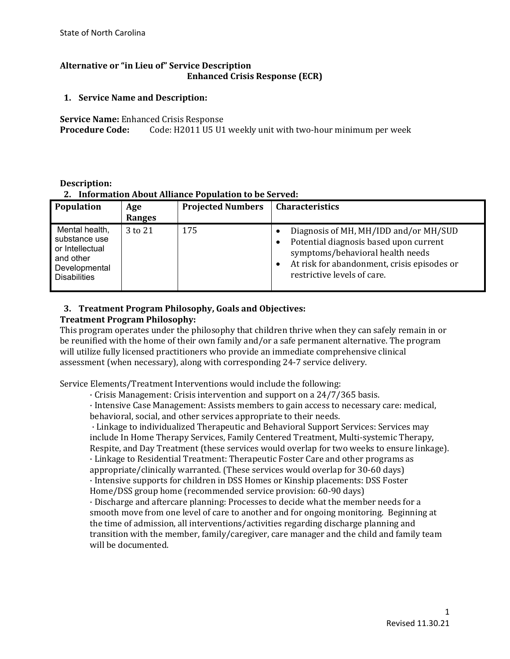## **Alternative or "in Lieu of" Service Description Enhanced Crisis Response (ECR)**

### **1. Service Name and Description:**

**Service Name:** Enhanced Crisis Response<br>**Procedure Code:** Code: H2011 U5 U1

Code: H2011 U5 U1 weekly unit with two-hour minimum per week

### **Description: 2. Information About Alliance Population to be Served:**

| Population                                                                                              | Age<br>Ranges | <b>Projected Numbers</b> | <b>Characteristics</b>                                                                                                                                                                            |
|---------------------------------------------------------------------------------------------------------|---------------|--------------------------|---------------------------------------------------------------------------------------------------------------------------------------------------------------------------------------------------|
| Mental health,<br>substance use<br>or Intellectual<br>and other<br>Developmental<br><b>Disabilities</b> | 3 to 21       | 175                      | Diagnosis of MH, MH/IDD and/or MH/SUD<br>Potential diagnosis based upon current<br>symptoms/behavioral health needs<br>At risk for abandonment, crisis episodes or<br>restrictive levels of care. |

### **3. Treatment Program Philosophy, Goals and Objectives: Treatment Program Philosophy:**

This program operates under the philosophy that children thrive when they can safely remain in or be reunified with the home of their own family and/or a safe permanent alternative. The program will utilize fully licensed practitioners who provide an immediate comprehensive clinical assessment (when necessary), along with corresponding 24-7 service delivery.

Service Elements/Treatment Interventions would include the following:

· Crisis Management: Crisis intervention and support on a 24/7/365 basis.

· Intensive Case Management: Assists members to gain access to necessary care: medical, behavioral, social, and other services appropriate to their needs.

· Linkage to individualized Therapeutic and Behavioral Support Services: Services may include In Home Therapy Services, Family Centered Treatment, Multi-systemic Therapy, Respite, and Day Treatment (these services would overlap for two weeks to ensure linkage). · Linkage to Residential Treatment: Therapeutic Foster Care and other programs as

appropriate/clinically warranted. (These services would overlap for 30-60 days) · Intensive supports for children in DSS Homes or Kinship placements: DSS Foster Home/DSS group home (recommended service provision: 60-90 days)

· Discharge and aftercare planning: Processes to decide what the member needs for a smooth move from one level of care to another and for ongoing monitoring. Beginning at the time of admission, all interventions/activities regarding discharge planning and transition with the member, family/caregiver, care manager and the child and family team will be documented.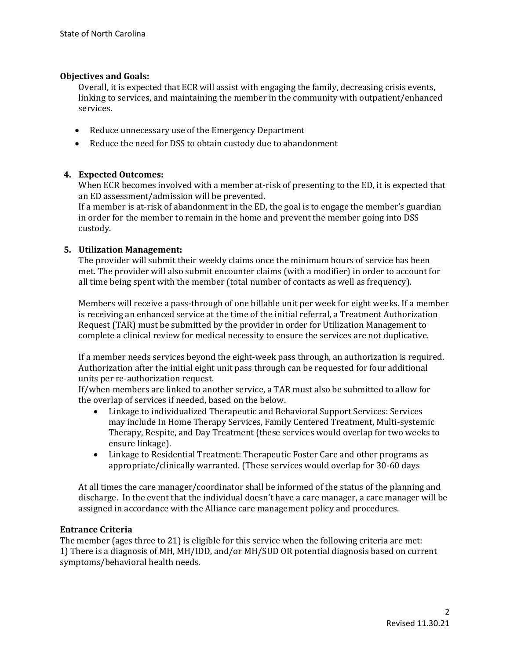#### **Objectives and Goals:**

Overall, it is expected that ECR will assist with engaging the family, decreasing crisis events, linking to services, and maintaining the member in the community with outpatient/enhanced services.

- Reduce unnecessary use of the Emergency Department
- Reduce the need for DSS to obtain custody due to abandonment

### **4. Expected Outcomes:**

When ECR becomes involved with a member at-risk of presenting to the ED, it is expected that an ED assessment/admission will be prevented.

If a member is at-risk of abandonment in the ED, the goal is to engage the member's guardian in order for the member to remain in the home and prevent the member going into DSS custody.

### **5. Utilization Management:**

The provider will submit their weekly claims once the minimum hours of service has been met. The provider will also submit encounter claims (with a modifier) in order to account for all time being spent with the member (total number of contacts as well as frequency).

Members will receive a pass-through of one billable unit per week for eight weeks. If a member is receiving an enhanced service at the time of the initial referral, a Treatment Authorization Request (TAR) must be submitted by the provider in order for Utilization Management to complete a clinical review for medical necessity to ensure the services are not duplicative.

If a member needs services beyond the eight-week pass through, an authorization is required. Authorization after the initial eight unit pass through can be requested for four additional units per re-authorization request.

If/when members are linked to another service, a TAR must also be submitted to allow for the overlap of services if needed, based on the below.

- Linkage to individualized Therapeutic and Behavioral Support Services: Services may include In Home Therapy Services, Family Centered Treatment, Multi-systemic Therapy, Respite, and Day Treatment (these services would overlap for two weeks to ensure linkage).
- Linkage to Residential Treatment: Therapeutic Foster Care and other programs as appropriate/clinically warranted. (These services would overlap for 30-60 days

At all times the care manager/coordinator shall be informed of the status of the planning and discharge. In the event that the individual doesn't have a care manager, a care manager will be assigned in accordance with the Alliance care management policy and procedures.

#### **Entrance Criteria**

The member (ages three to 21) is eligible for this service when the following criteria are met: 1) There is a diagnosis of MH, MH/IDD, and/or MH/SUD OR potential diagnosis based on current symptoms/behavioral health needs.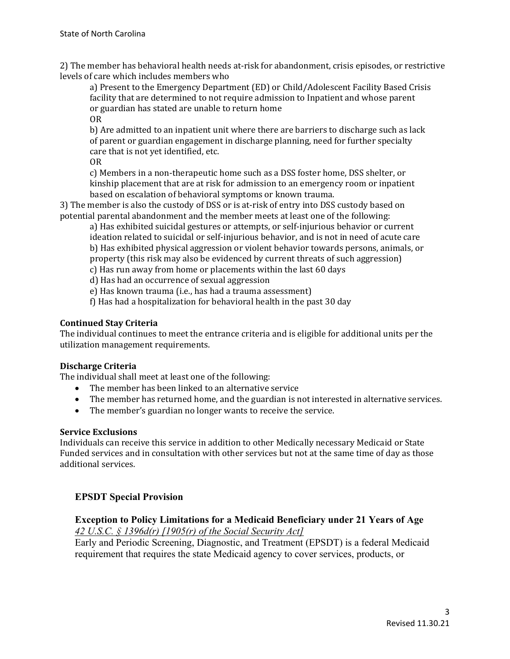2) The member has behavioral health needs at-risk for abandonment, crisis episodes, or restrictive levels of care which includes members who

a) Present to the Emergency Department (ED) or Child/Adolescent Facility Based Crisis facility that are determined to not require admission to Inpatient and whose parent or guardian has stated are unable to return home OR

b) Are admitted to an inpatient unit where there are barriers to discharge such as lack of parent or guardian engagement in discharge planning, need for further specialty care that is not yet identified, etc.

OR

c) Members in a non-therapeutic home such as a DSS foster home, DSS shelter, or kinship placement that are at risk for admission to an emergency room or inpatient based on escalation of behavioral symptoms or known trauma.

3) The member is also the custody of DSS or is at-risk of entry into DSS custody based on potential parental abandonment and the member meets at least one of the following:

a) Has exhibited suicidal gestures or attempts, or self-injurious behavior or current ideation related to suicidal or self-injurious behavior, and is not in need of acute care b) Has exhibited physical aggression or violent behavior towards persons, animals, or property (this risk may also be evidenced by current threats of such aggression)

c) Has run away from home or placements within the last 60 days

d) Has had an occurrence of sexual aggression

e) Has known trauma (i.e., has had a trauma assessment)

f) Has had a hospitalization for behavioral health in the past 30 day

### **Continued Stay Criteria**

The individual continues to meet the entrance criteria and is eligible for additional units per the utilization management requirements.

### **Discharge Criteria**

The individual shall meet at least one of the following:

- The member has been linked to an alternative service
- The member has returned home, and the guardian is not interested in alternative services.
- The member's guardian no longer wants to receive the service.

### **Service Exclusions**

Individuals can receive this service in addition to other Medically necessary Medicaid or State Funded services and in consultation with other services but not at the same time of day as those additional services.

# **EPSDT Special Provision**

# **Exception to Policy Limitations for a Medicaid Beneficiary under 21 Years of Age**  *42 U.S.C. § 1396d(r) [1905(r) of the Social Security Act]*

Early and Periodic Screening, Diagnostic, and Treatment (EPSDT) is a federal Medicaid requirement that requires the state Medicaid agency to cover services, products, or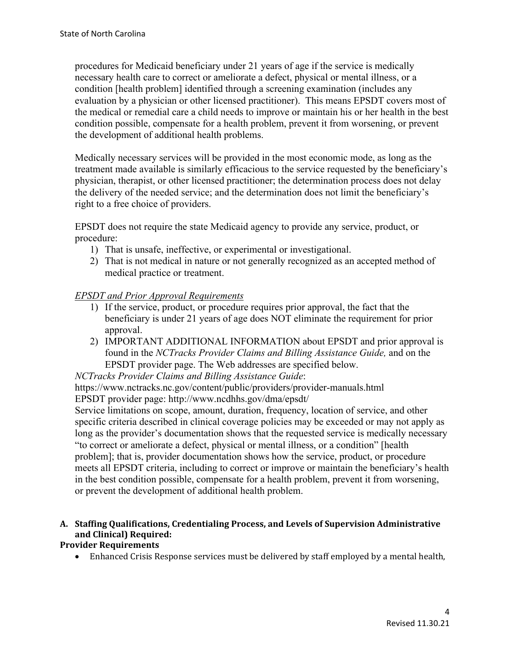procedures for Medicaid beneficiary under 21 years of age if the service is medically necessary health care to correct or ameliorate a defect, physical or mental illness, or a condition [health problem] identified through a screening examination (includes any evaluation by a physician or other licensed practitioner). This means EPSDT covers most of the medical or remedial care a child needs to improve or maintain his or her health in the best condition possible, compensate for a health problem, prevent it from worsening, or prevent the development of additional health problems.

Medically necessary services will be provided in the most economic mode, as long as the treatment made available is similarly efficacious to the service requested by the beneficiary's physician, therapist, or other licensed practitioner; the determination process does not delay the delivery of the needed service; and the determination does not limit the beneficiary's right to a free choice of providers.

EPSDT does not require the state Medicaid agency to provide any service, product, or procedure:

- 1) That is unsafe, ineffective, or experimental or investigational.
- 2) That is not medical in nature or not generally recognized as an accepted method of medical practice or treatment.

# *EPSDT and Prior Approval Requirements*

- 1) If the service, product, or procedure requires prior approval, the fact that the beneficiary is under 21 years of age does NOT eliminate the requirement for prior approval.
- 2) IMPORTANT ADDITIONAL INFORMATION about EPSDT and prior approval is found in the *NCTracks Provider Claims and Billing Assistance Guide,* and on the EPSDT provider page. The Web addresses are specified below.

*NCTracks Provider Claims and Billing Assistance Guide*:

https://www.nctracks.nc.gov/content/public/providers/provider-manuals.html

EPSDT provider page: http://www.ncdhhs.gov/dma/epsdt/

Service limitations on scope, amount, duration, frequency, location of service, and other specific criteria described in clinical coverage policies may be exceeded or may not apply as long as the provider's documentation shows that the requested service is medically necessary "to correct or ameliorate a defect, physical or mental illness, or a condition" [health problem]; that is, provider documentation shows how the service, product, or procedure meets all EPSDT criteria, including to correct or improve or maintain the beneficiary's health in the best condition possible, compensate for a health problem, prevent it from worsening, or prevent the development of additional health problem.

# **A. Staffing Qualifications, Credentialing Process, and Levels of Supervision Administrative and Clinical) Required:**

# **Provider Requirements**

• Enhanced Crisis Response services must be delivered by staff employed by a mental health,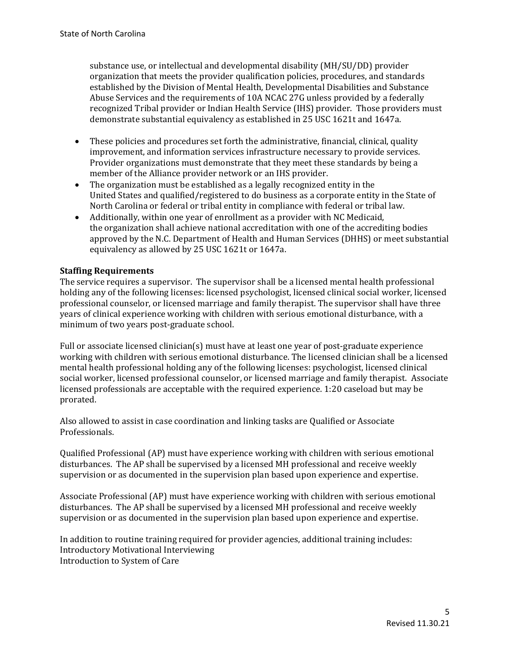substance use, or intellectual and developmental disability (MH/SU/DD) provider organization that meets the provider qualification policies, procedures, and standards established by the Division of Mental Health, Developmental Disabilities and Substance Abuse Services and the requirements of 10A NCAC 27G unless provided by a federally recognized Tribal provider or Indian Health Service (IHS) provider. Those providers must demonstrate substantial equivalency as established in 25 USC 1621t and 1647a.

- These policies and procedures set forth the administrative, financial, clinical, quality improvement, and information services infrastructure necessary to provide services. Provider organizations must demonstrate that they meet these standards by being a member of the Alliance provider network or an IHS provider.
- The organization must be established as a legally recognized entity in the United States and qualified/registered to do business as a corporate entity in the State of North Carolina or federal or tribal entity in compliance with federal or tribal law.
- Additionally, within one year of enrollment as a provider with NC Medicaid, the organization shall achieve national accreditation with one of the accrediting bodies approved by the N.C. Department of Health and Human Services (DHHS) or meet substantial equivalency as allowed by 25 USC 1621t or 1647a.

## **Staffing Requirements**

The service requires a supervisor.The supervisor shall be a licensed mental health professional holding any of the following licenses: licensed psychologist, licensed clinical social worker, licensed professional counselor, or licensed marriage and family therapist. The supervisor shall have three years of clinical experience working with children with serious emotional disturbance, with a minimum of two years post-graduate school.

Full or associate licensed clinician(s) must have at least one year of post-graduate experience working with children with serious emotional disturbance. The licensed clinician shall be a licensed mental health professional holding any of the following licenses: psychologist, licensed clinical social worker, licensed professional counselor, or licensed marriage and family therapist. Associate licensed professionals are acceptable with the required experience. 1:20 caseload but may be prorated.

Also allowed to assist in case coordination and linking tasks are Qualified or Associate Professionals.

Qualified Professional (AP) must have experience working with children with serious emotional disturbances. The AP shall be supervised by a licensed MH professional and receive weekly supervision or as documented in the supervision plan based upon experience and expertise.

Associate Professional (AP) must have experience working with children with serious emotional disturbances. The AP shall be supervised by a licensed MH professional and receive weekly supervision or as documented in the supervision plan based upon experience and expertise.

In addition to routine training required for provider agencies, additional training includes: Introductory Motivational Interviewing Introduction to System of Care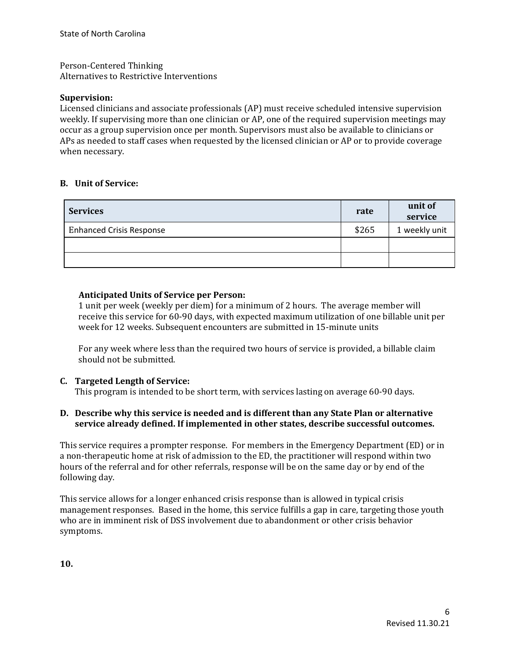Person-Centered Thinking Alternatives to Restrictive Interventions

#### **Supervision:**

Licensed clinicians and associate professionals (AP) must receive scheduled intensive supervision weekly. If supervising more than one clinician or AP, one of the required supervision meetings may occur as a group supervision once per month. Supervisors must also be available to clinicians or APs as needed to staff cases when requested by the licensed clinician or AP or to provide coverage when necessary.

## **B. Unit of Service:**

| <b>Services</b>                 | rate  | unit of<br>service |
|---------------------------------|-------|--------------------|
| <b>Enhanced Crisis Response</b> | \$265 | 1 weekly unit      |
|                                 |       |                    |
|                                 |       |                    |

## **Anticipated Units of Service per Person:**

1 unit per week (weekly per diem) for a minimum of 2 hours. The average member will receive this service for 60-90 days, with expected maximum utilization of one billable unit per week for 12 weeks. Subsequent encounters are submitted in 15-minute units

For any week where less than the required two hours of service is provided, a billable claim should not be submitted.

### **C. Targeted Length of Service:**

This program is intended to be short term, with services lasting on average 60-90 days.

### **D. Describe why this service is needed and is different than any State Plan or alternative service already defined. If implemented in other states, describe successful outcomes.**

This service requires a prompter response. For members in the Emergency Department (ED) or in a non-therapeutic home at risk of admission to the ED, the practitioner will respond within two hours of the referral and for other referrals, response will be on the same day or by end of the following day.

This service allows for a longer enhanced crisis response than is allowed in typical crisis management responses. Based in the home, this service fulfills a gap in care, targeting those youth who are in imminent risk of DSS involvement due to abandonment or other crisis behavior symptoms.

**10.**